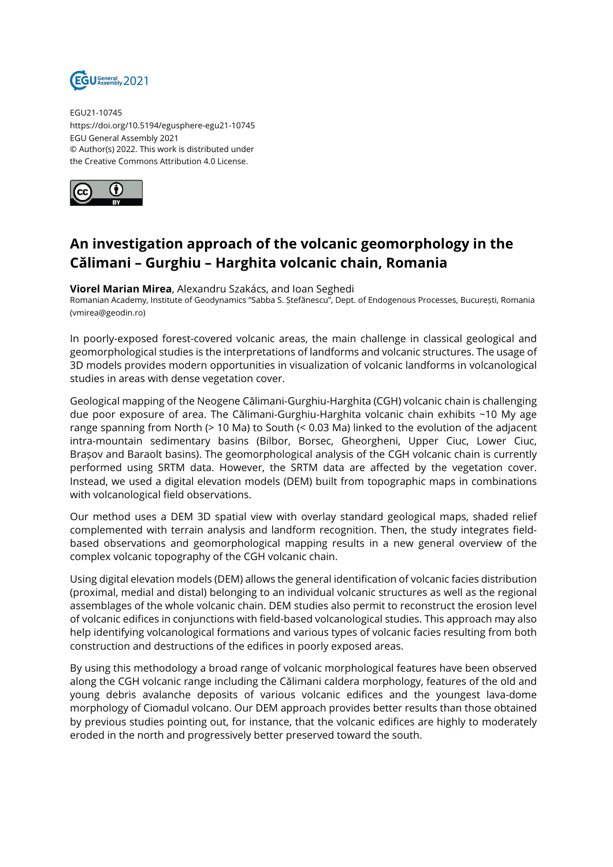

EGU21-10745 https://doi.org/10.5194/egusphere-egu21-10745 EGU General Assembly 2021 © Author(s) 2022. This work is distributed under the Creative Commons Attribution 4.0 License.



## **An investigation approach of the volcanic geomorphology in the Călimani – Gurghiu – Harghita volcanic chain, Romania**

## **Viorel Marian Mirea**, Alexandru Szakács, and Ioan Seghedi

Romanian Academy, Institute of Geodynamics "Sabba S. Ștefănescu", Dept. of Endogenous Processes, București, Romania (vmirea@geodin.ro)

In poorly-exposed forest-covered volcanic areas, the main challenge in classical geological and geomorphological studies is the interpretations of landforms and volcanic structures. The usage of 3D models provides modern opportunities in visualization of volcanic landforms in volcanological studies in areas with dense vegetation cover.

Geological mapping of the Neogene Călimani-Gurghiu-Harghita (CGH) volcanic chain is challenging due poor exposure of area. The Călimani-Gurghiu-Harghita volcanic chain exhibits ~10 My age range spanning from North (> 10 Ma) to South (< 0.03 Ma) linked to the evolution of the adjacent intra-mountain sedimentary basins (Bilbor, Borsec, Gheorgheni, Upper Ciuc, Lower Ciuc, Brașov and Baraolt basins). The geomorphological analysis of the CGH volcanic chain is currently performed using SRTM data. However, the SRTM data are affected by the vegetation cover. Instead, we used a digital elevation models (DEM) built from topographic maps in combinations with volcanological field observations.

Our method uses a DEM 3D spatial view with overlay standard geological maps, shaded relief complemented with terrain analysis and landform recognition. Then, the study integrates fieldbased observations and geomorphological mapping results in a new general overview of the complex volcanic topography of the CGH volcanic chain.

Using digital elevation models (DEM) allows the general identification of volcanic facies distribution (proximal, medial and distal) belonging to an individual volcanic structures as well as the regional assemblages of the whole volcanic chain. DEM studies also permit to reconstruct the erosion level of volcanic edifices in conjunctions with field-based volcanological studies. This approach may also help identifying volcanological formations and various types of volcanic facies resulting from both construction and destructions of the edifices in poorly exposed areas.

By using this methodology a broad range of volcanic morphological features have been observed along the CGH volcanic range including the Călimani caldera morphology, features of the old and young debris avalanche deposits of various volcanic edifices and the youngest lava-dome morphology of Ciomadul volcano. Our DEM approach provides better results than those obtained by previous studies pointing out, for instance, that the volcanic edifices are highly to moderately eroded in the north and progressively better preserved toward the south.